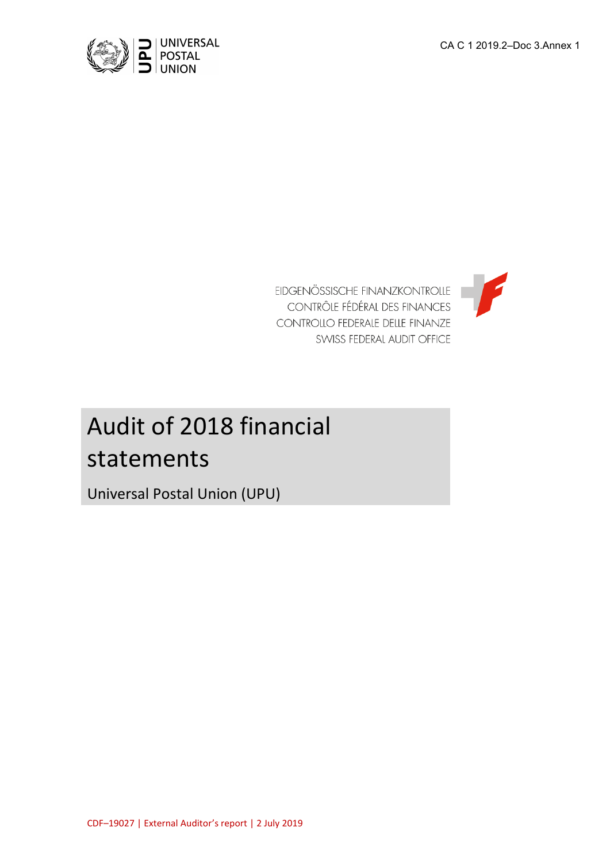



# Audit of 2018 financial statements

Universal Postal Union (UPU)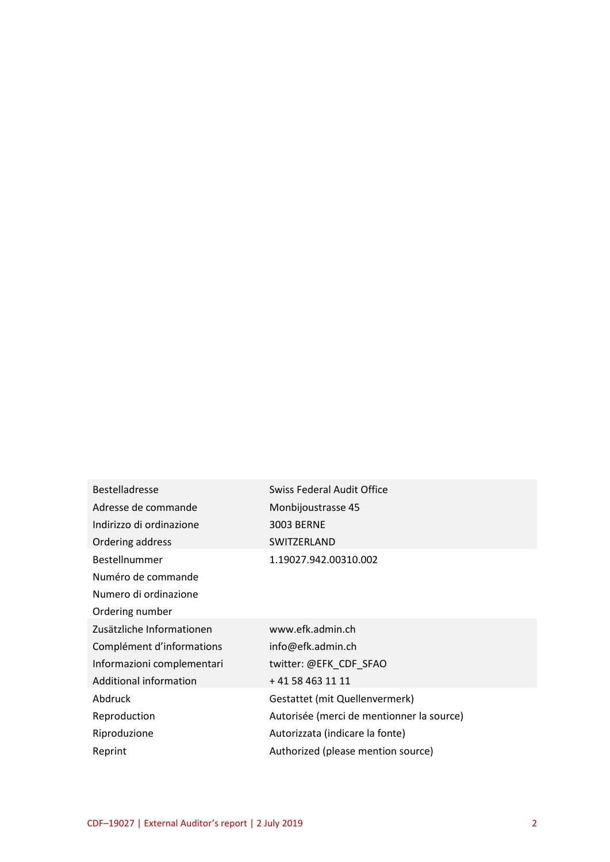| <b>Bestelladresse</b>         | <b>Swiss Federal Audit Office</b>         |
|-------------------------------|-------------------------------------------|
| Adresse de commande           | Monbijoustrasse 45                        |
| Indirizzo di ordinazione      | <b>3003 BERNE</b>                         |
| Ordering address              | SWITZERLAND                               |
| Bestellnummer                 | 1.19027.942.00310.002                     |
| Numéro de commande            |                                           |
| Numero di ordinazione         |                                           |
| Ordering number               |                                           |
| Zusätzliche Informationen     | www.efk.admin.ch                          |
| Complément d'informations     | info@efk.admin.ch                         |
| Informazioni complementari    | twitter: @EFK_CDF_SFAO                    |
| <b>Additional information</b> | +41 58 463 11 11                          |
| Abdruck                       | Gestattet (mit Quellenvermerk)            |
| Reproduction                  | Autorisée (merci de mentionner la source) |
| Riproduzione                  | Autorizzata (indicare la fonte)           |
| Reprint                       | Authorized (please mention source)        |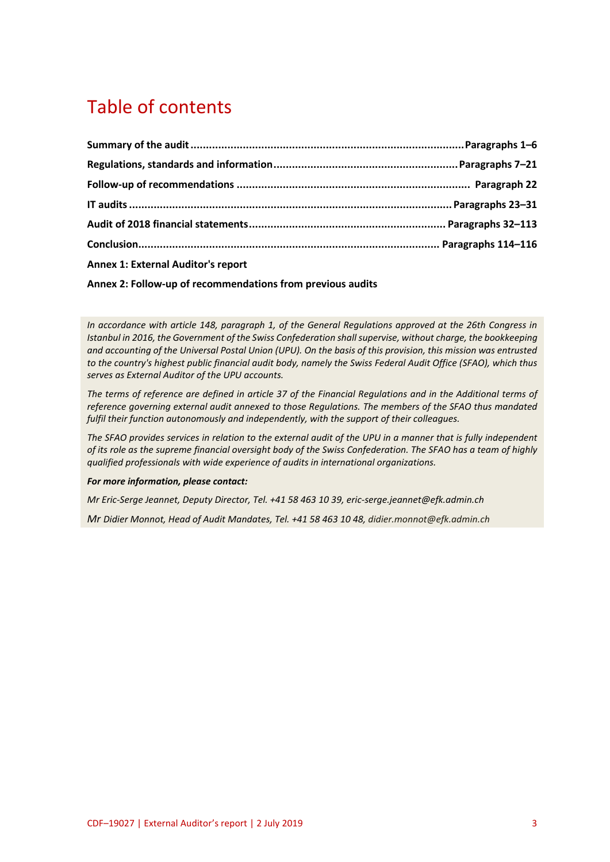## Table of contents

| <b>Annex 1: External Auditor's report</b> |  |
|-------------------------------------------|--|

**Annex 2: Follow-up of recommendations from previous audits**

*In accordance with article 148, paragraph 1, of the General Regulations approved at the 26th Congress in Istanbul in 2016, the Government of the Swiss Confederation shall supervise, without charge, the bookkeeping and accounting of the Universal Postal Union (UPU). On the basis of this provision, this mission was entrusted to the country's highest public financial audit body, namely the Swiss Federal Audit Office (SFAO), which thus serves as External Auditor of the UPU accounts.*

*The terms of reference are defined in article 37 of the Financial Regulations and in the Additional terms of reference governing external audit annexed to those Regulations. The members of the SFAO thus mandated fulfil their function autonomously and independently, with the support of their colleagues.*

*The SFAO provides services in relation to the external audit of the UPU in a manner that is fully independent of its role as the supreme financial oversight body of the Swiss Confederation. The SFAO has a team of highly qualified professionals with wide experience of audits in international organizations.*

*For more information, please contact:*

*Mr Eric-Serge Jeannet, Deputy Director, Tel. +41 58 463 10 39, eric-serge.jeannet@efk.admin.ch*

*Mr Didier Monnot, Head of Audit Mandates, Tel. +41 58 463 10 48[, didier.monnot@efk.admin.ch](mailto:didier.monnot@efk.admin.ch)*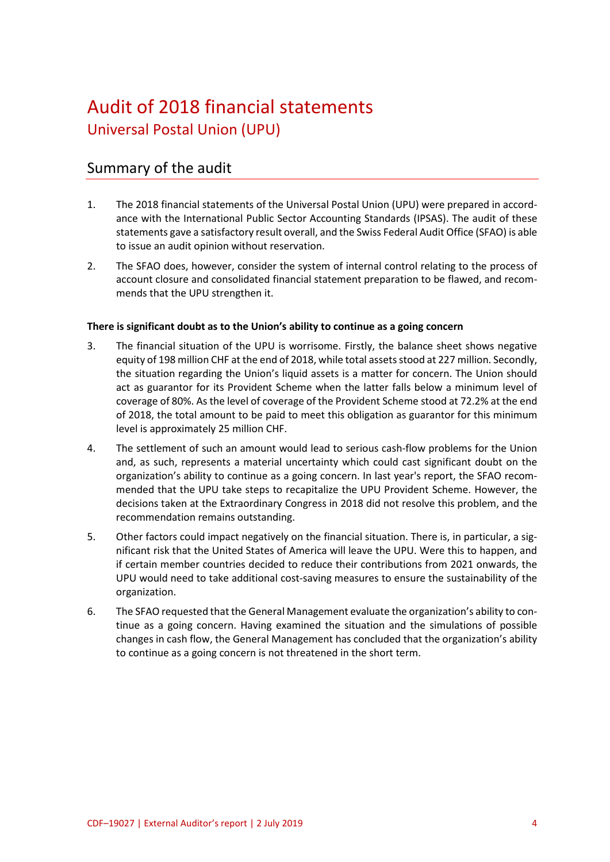## Audit of 2018 financial statements Universal Postal Union (UPU)

## Summary of the audit

- 1. The 2018 financial statements of the Universal Postal Union (UPU) were prepared in accordance with the International Public Sector Accounting Standards (IPSAS). The audit of these statements gave a satisfactory result overall, and the Swiss Federal Audit Office (SFAO) is able to issue an audit opinion without reservation.
- 2. The SFAO does, however, consider the system of internal control relating to the process of account closure and consolidated financial statement preparation to be flawed, and recommends that the UPU strengthen it.

#### **There is significant doubt as to the Union's ability to continue as a going concern**

- 3. The financial situation of the UPU is worrisome. Firstly, the balance sheet shows negative equity of 198 million CHF at the end of 2018, while total assets stood at 227 million. Secondly, the situation regarding the Union's liquid assets is a matter for concern. The Union should act as guarantor for its Provident Scheme when the latter falls below a minimum level of coverage of 80%. As the level of coverage of the Provident Scheme stood at 72.2% at the end of 2018, the total amount to be paid to meet this obligation as guarantor for this minimum level is approximately 25 million CHF.
- 4. The settlement of such an amount would lead to serious cash-flow problems for the Union and, as such, represents a material uncertainty which could cast significant doubt on the organization's ability to continue as a going concern. In last year's report, the SFAO recommended that the UPU take steps to recapitalize the UPU Provident Scheme. However, the decisions taken at the Extraordinary Congress in 2018 did not resolve this problem, and the recommendation remains outstanding.
- 5. Other factors could impact negatively on the financial situation. There is, in particular, a significant risk that the United States of America will leave the UPU. Were this to happen, and if certain member countries decided to reduce their contributions from 2021 onwards, the UPU would need to take additional cost-saving measures to ensure the sustainability of the organization.
- 6. The SFAO requested that the General Management evaluate the organization's ability to continue as a going concern. Having examined the situation and the simulations of possible changes in cash flow, the General Management has concluded that the organization's ability to continue as a going concern is not threatened in the short term.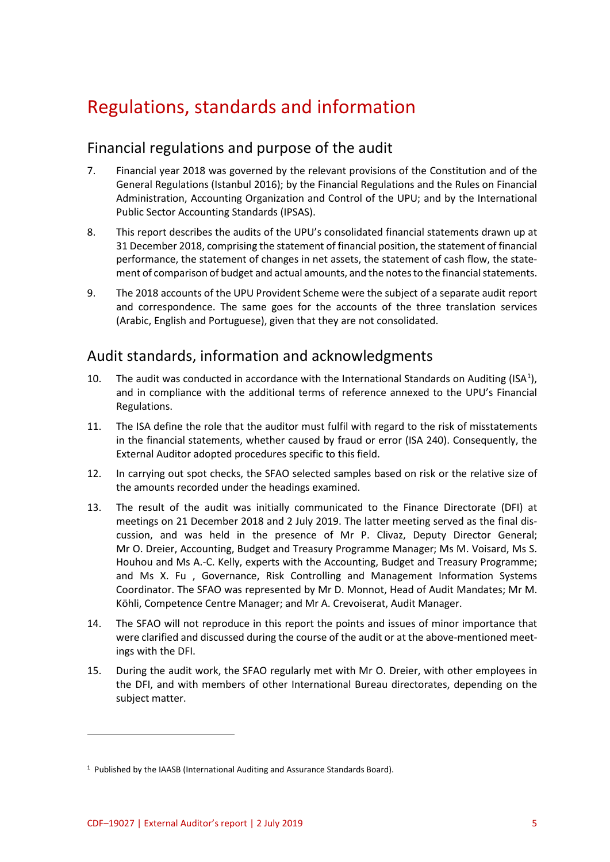## Regulations, standards and information

## Financial regulations and purpose of the audit

- 7. Financial year 2018 was governed by the relevant provisions of the Constitution and of the General Regulations (Istanbul 2016); by the Financial Regulations and the Rules on Financial Administration, Accounting Organization and Control of the UPU; and by the International Public Sector Accounting Standards (IPSAS).
- 8. This report describes the audits of the UPU's consolidated financial statements drawn up at 31 December 2018, comprising the statement of financial position, the statement of financial performance, the statement of changes in net assets, the statement of cash flow, the statement of comparison of budget and actual amounts, and the notes to the financial statements.
- 9. The 2018 accounts of the UPU Provident Scheme were the subject of a separate audit report and correspondence. The same goes for the accounts of the three translation services (Arabic, English and Portuguese), given that they are not consolidated.

### Audit standards, information and acknowledgments

- [1](#page-4-0)0. The audit was conducted in accordance with the International Standards on Auditing (ISA<sup>1</sup>), and in compliance with the additional terms of reference annexed to the UPU's Financial Regulations.
- 11. The ISA define the role that the auditor must fulfil with regard to the risk of misstatements in the financial statements, whether caused by fraud or error (ISA 240). Consequently, the External Auditor adopted procedures specific to this field.
- 12. In carrying out spot checks, the SFAO selected samples based on risk or the relative size of the amounts recorded under the headings examined.
- 13. The result of the audit was initially communicated to the Finance Directorate (DFI) at meetings on 21 December 2018 and 2 July 2019. The latter meeting served as the final discussion, and was held in the presence of Mr P. Clivaz, Deputy Director General; Mr O. Dreier, Accounting, Budget and Treasury Programme Manager; Ms M. Voisard, Ms S. Houhou and Ms A.-C. Kelly, experts with the Accounting, Budget and Treasury Programme; and Ms X. Fu , Governance, Risk Controlling and Management Information Systems Coordinator. The SFAO was represented by Mr D. Monnot, Head of Audit Mandates; Mr M. Köhli, Competence Centre Manager; and Mr A. Crevoiserat, Audit Manager.
- 14. The SFAO will not reproduce in this report the points and issues of minor importance that were clarified and discussed during the course of the audit or at the above-mentioned meetings with the DFI.
- 15. During the audit work, the SFAO regularly met with Mr O. Dreier, with other employees in the DFI, and with members of other International Bureau directorates, depending on the subject matter.

1

<span id="page-4-0"></span><sup>1</sup> Published by the IAASB (International Auditing and Assurance Standards Board).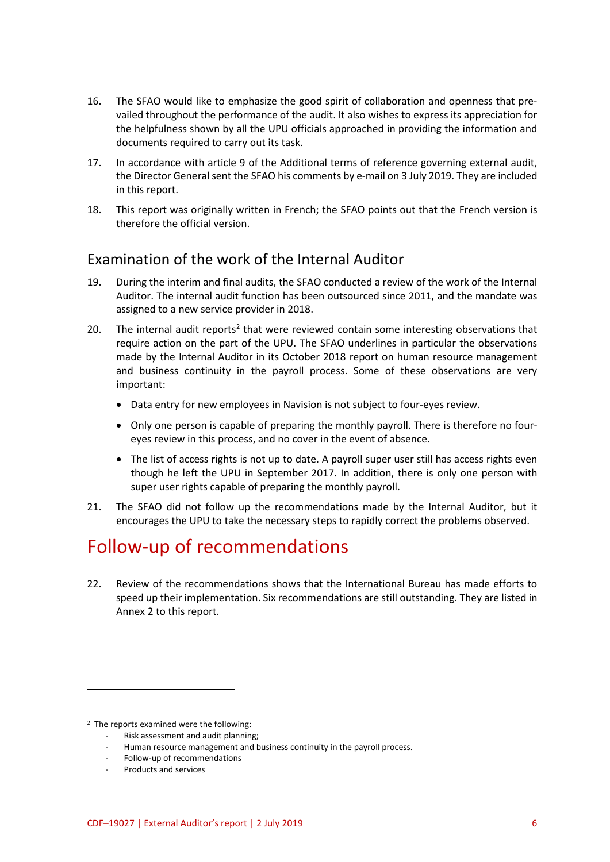- 16. The SFAO would like to emphasize the good spirit of collaboration and openness that prevailed throughout the performance of the audit. It also wishes to express its appreciation for the helpfulness shown by all the UPU officials approached in providing the information and documents required to carry out its task.
- 17. In accordance with article 9 of the Additional terms of reference governing external audit, the Director General sent the SFAO his comments by e-mail on 3 July 2019. They are included in this report.
- 18. This report was originally written in French; the SFAO points out that the French version is therefore the official version.

### Examination of the work of the Internal Auditor

- 19. During the interim and final audits, the SFAO conducted a review of the work of the Internal Auditor. The internal audit function has been outsourced since 2011, and the mandate was assigned to a new service provider in 2018.
- [2](#page-5-0)0. The internal audit reports<sup>2</sup> that were reviewed contain some interesting observations that require action on the part of the UPU. The SFAO underlines in particular the observations made by the Internal Auditor in its October 2018 report on human resource management and business continuity in the payroll process. Some of these observations are very important:
	- Data entry for new employees in Navision is not subject to four-eyes review.
	- Only one person is capable of preparing the monthly payroll. There is therefore no foureyes review in this process, and no cover in the event of absence.
	- The list of access rights is not up to date. A payroll super user still has access rights even though he left the UPU in September 2017. In addition, there is only one person with super user rights capable of preparing the monthly payroll.
- 21. The SFAO did not follow up the recommendations made by the Internal Auditor, but it encourages the UPU to take the necessary steps to rapidly correct the problems observed.

## Follow-up of recommendations

22. Review of the recommendations shows that the International Bureau has made efforts to speed up their implementation. Six recommendations are still outstanding. They are listed in Annex 2 to this report.

- Risk assessment and audit planning;
- Human resource management and business continuity in the payroll process.
- Follow-up of recommendations
- Products and services

1

<span id="page-5-0"></span><sup>&</sup>lt;sup>2</sup> The reports examined were the following: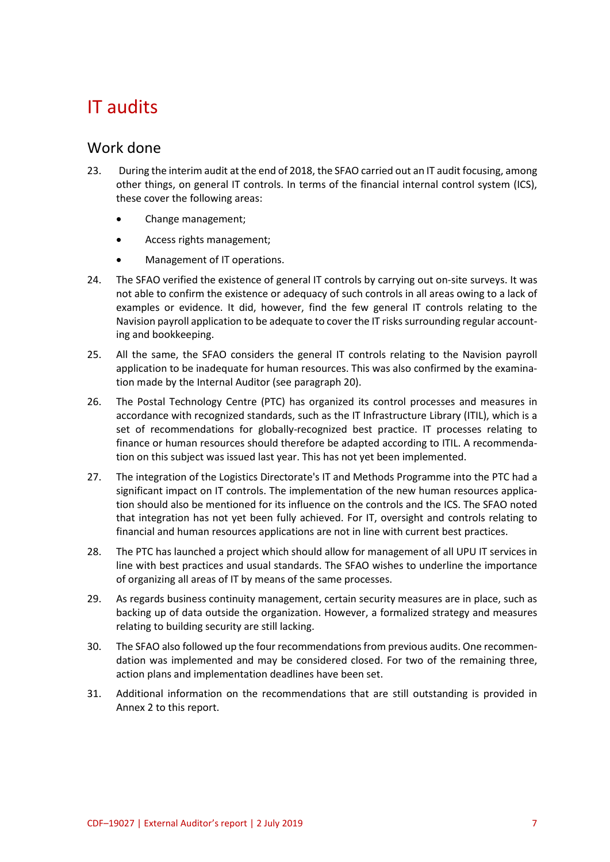## IT audits

## Work done

- 23. During the interim audit at the end of 2018, the SFAO carried out an IT audit focusing, among other things, on general IT controls. In terms of the financial internal control system (ICS), these cover the following areas:
	- Change management;
	- Access rights management;
	- Management of IT operations.
- 24. The SFAO verified the existence of general IT controls by carrying out on-site surveys. It was not able to confirm the existence or adequacy of such controls in all areas owing to a lack of examples or evidence. It did, however, find the few general IT controls relating to the Navision payroll application to be adequate to cover the IT risks surrounding regular accounting and bookkeeping.
- 25. All the same, the SFAO considers the general IT controls relating to the Navision payroll application to be inadequate for human resources. This was also confirmed by the examination made by the Internal Auditor (see paragraph 20).
- 26. The Postal Technology Centre (PTC) has organized its control processes and measures in accordance with recognized standards, such as the IT Infrastructure Library (ITIL), which is a set of recommendations for globally-recognized best practice. IT processes relating to finance or human resources should therefore be adapted according to ITIL. A recommendation on this subject was issued last year. This has not yet been implemented.
- 27. The integration of the Logistics Directorate's IT and Methods Programme into the PTC had a significant impact on IT controls. The implementation of the new human resources application should also be mentioned for its influence on the controls and the ICS. The SFAO noted that integration has not yet been fully achieved. For IT, oversight and controls relating to financial and human resources applications are not in line with current best practices.
- 28. The PTC has launched a project which should allow for management of all UPU IT services in line with best practices and usual standards. The SFAO wishes to underline the importance of organizing all areas of IT by means of the same processes.
- 29. As regards business continuity management, certain security measures are in place, such as backing up of data outside the organization. However, a formalized strategy and measures relating to building security are still lacking.
- 30. The SFAO also followed up the four recommendations from previous audits. One recommendation was implemented and may be considered closed. For two of the remaining three, action plans and implementation deadlines have been set.
- 31. Additional information on the recommendations that are still outstanding is provided in Annex 2 to this report.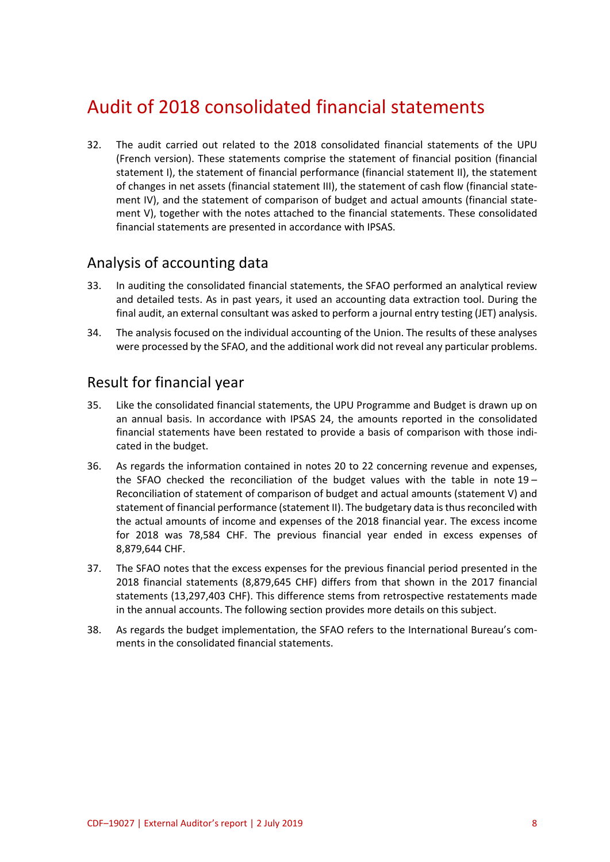## Audit of 2018 consolidated financial statements

32. The audit carried out related to the 2018 consolidated financial statements of the UPU (French version). These statements comprise the statement of financial position (financial statement I), the statement of financial performance (financial statement II), the statement of changes in net assets (financial statement III), the statement of cash flow (financial statement IV), and the statement of comparison of budget and actual amounts (financial statement V), together with the notes attached to the financial statements. These consolidated financial statements are presented in accordance with IPSAS.

#### Analysis of accounting data

- 33. In auditing the consolidated financial statements, the SFAO performed an analytical review and detailed tests. As in past years, it used an accounting data extraction tool. During the final audit, an external consultant was asked to perform a journal entry testing (JET) analysis.
- 34. The analysis focused on the individual accounting of the Union. The results of these analyses were processed by the SFAO, and the additional work did not reveal any particular problems.

#### Result for financial year

- 35. Like the consolidated financial statements, the UPU Programme and Budget is drawn up on an annual basis. In accordance with IPSAS 24, the amounts reported in the consolidated financial statements have been restated to provide a basis of comparison with those indicated in the budget.
- 36. As regards the information contained in notes 20 to 22 concerning revenue and expenses, the SFAO checked the reconciliation of the budget values with the table in note 19 – Reconciliation of statement of comparison of budget and actual amounts (statement V) and statement of financial performance (statement II). The budgetary data is thus reconciled with the actual amounts of income and expenses of the 2018 financial year. The excess income for 2018 was 78,584 CHF. The previous financial year ended in excess expenses of 8,879,644 CHF.
- 37. The SFAO notes that the excess expenses for the previous financial period presented in the 2018 financial statements (8,879,645 CHF) differs from that shown in the 2017 financial statements (13,297,403 CHF). This difference stems from retrospective restatements made in the annual accounts. The following section provides more details on this subject.
- 38. As regards the budget implementation, the SFAO refers to the International Bureau's comments in the consolidated financial statements.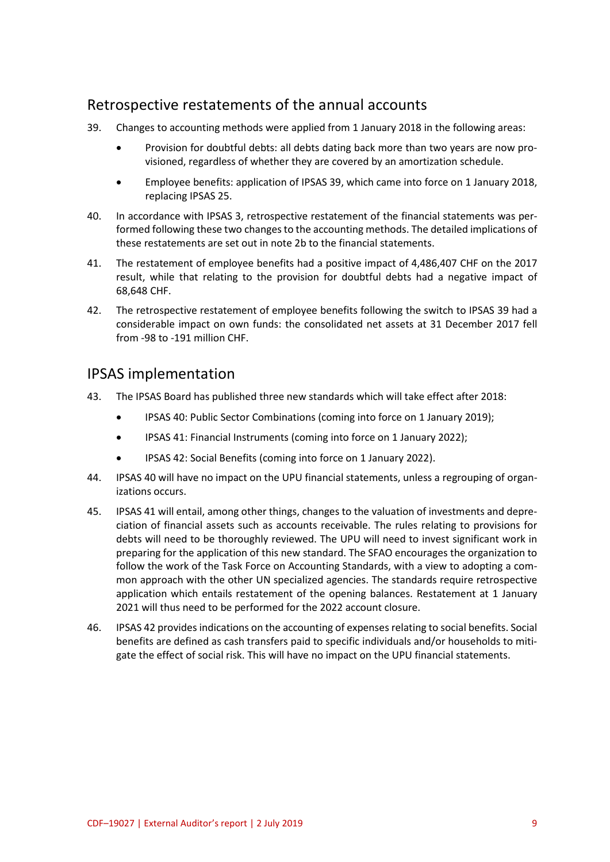### Retrospective restatements of the annual accounts

- 39. Changes to accounting methods were applied from 1 January 2018 in the following areas:
	- Provision for doubtful debts: all debts dating back more than two years are now provisioned, regardless of whether they are covered by an amortization schedule.
	- Employee benefits: application of IPSAS 39, which came into force on 1 January 2018, replacing IPSAS 25.
- 40. In accordance with IPSAS 3, retrospective restatement of the financial statements was performed following these two changes to the accounting methods. The detailed implications of these restatements are set out in note 2b to the financial statements.
- 41. The restatement of employee benefits had a positive impact of 4,486,407 CHF on the 2017 result, while that relating to the provision for doubtful debts had a negative impact of 68,648 CHF.
- 42. The retrospective restatement of employee benefits following the switch to IPSAS 39 had a considerable impact on own funds: the consolidated net assets at 31 December 2017 fell from -98 to -191 million CHF.

### IPSAS implementation

- 43. The IPSAS Board has published three new standards which will take effect after 2018:
	- IPSAS 40: Public Sector Combinations (coming into force on 1 January 2019);
	- IPSAS 41: Financial Instruments (coming into force on 1 January 2022);
	- IPSAS 42: Social Benefits (coming into force on 1 January 2022).
- 44. IPSAS 40 will have no impact on the UPU financial statements, unless a regrouping of organizations occurs.
- 45. IPSAS 41 will entail, among other things, changes to the valuation of investments and depreciation of financial assets such as accounts receivable. The rules relating to provisions for debts will need to be thoroughly reviewed. The UPU will need to invest significant work in preparing for the application of this new standard. The SFAO encourages the organization to follow the work of the Task Force on Accounting Standards, with a view to adopting a common approach with the other UN specialized agencies. The standards require retrospective application which entails restatement of the opening balances. Restatement at 1 January 2021 will thus need to be performed for the 2022 account closure.
- 46. IPSAS 42 provides indications on the accounting of expenses relating to social benefits. Social benefits are defined as cash transfers paid to specific individuals and/or households to mitigate the effect of social risk. This will have no impact on the UPU financial statements.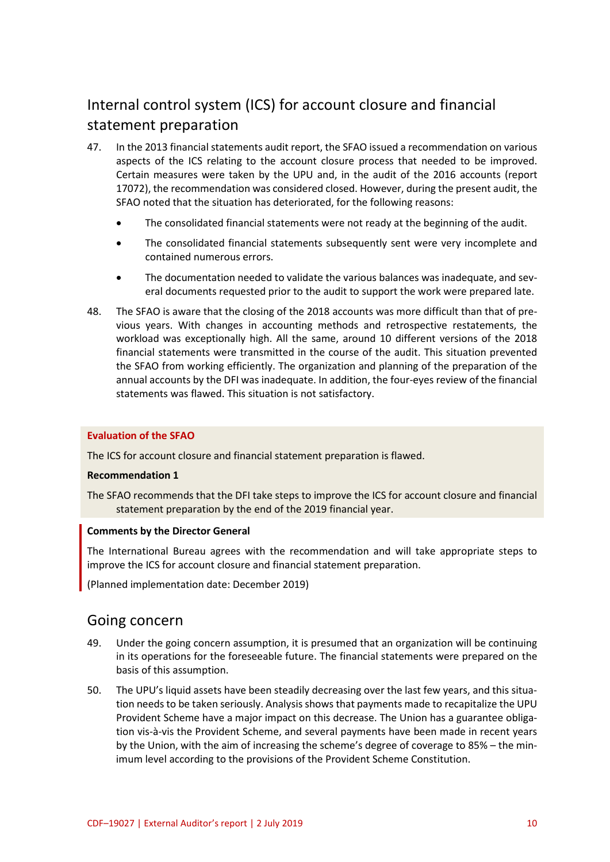## Internal control system (ICS) for account closure and financial statement preparation

- 47. In the 2013 financial statements audit report, the SFAO issued a recommendation on various aspects of the ICS relating to the account closure process that needed to be improved. Certain measures were taken by the UPU and, in the audit of the 2016 accounts (report 17072), the recommendation was considered closed. However, during the present audit, the SFAO noted that the situation has deteriorated, for the following reasons:
	- The consolidated financial statements were not ready at the beginning of the audit.
	- The consolidated financial statements subsequently sent were very incomplete and contained numerous errors.
	- The documentation needed to validate the various balances was inadequate, and several documents requested prior to the audit to support the work were prepared late.
- 48. The SFAO is aware that the closing of the 2018 accounts was more difficult than that of previous years. With changes in accounting methods and retrospective restatements, the workload was exceptionally high. All the same, around 10 different versions of the 2018 financial statements were transmitted in the course of the audit. This situation prevented the SFAO from working efficiently. The organization and planning of the preparation of the annual accounts by the DFI was inadequate. In addition, the four-eyes review of the financial statements was flawed. This situation is not satisfactory.

#### **Evaluation of the SFAO**

The ICS for account closure and financial statement preparation is flawed.

#### **Recommendation 1**

The SFAO recommends that the DFI take steps to improve the ICS for account closure and financial statement preparation by the end of the 2019 financial year.

#### **Comments by the Director General**

The International Bureau agrees with the recommendation and will take appropriate steps to improve the ICS for account closure and financial statement preparation.

(Planned implementation date: December 2019)

#### Going concern

- 49. Under the going concern assumption, it is presumed that an organization will be continuing in its operations for the foreseeable future. The financial statements were prepared on the basis of this assumption.
- 50. The UPU's liquid assets have been steadily decreasing over the last few years, and this situation needs to be taken seriously. Analysis shows that payments made to recapitalize the UPU Provident Scheme have a major impact on this decrease. The Union has a guarantee obligation vis-à-vis the Provident Scheme, and several payments have been made in recent years by the Union, with the aim of increasing the scheme's degree of coverage to 85% – the minimum level according to the provisions of the Provident Scheme Constitution.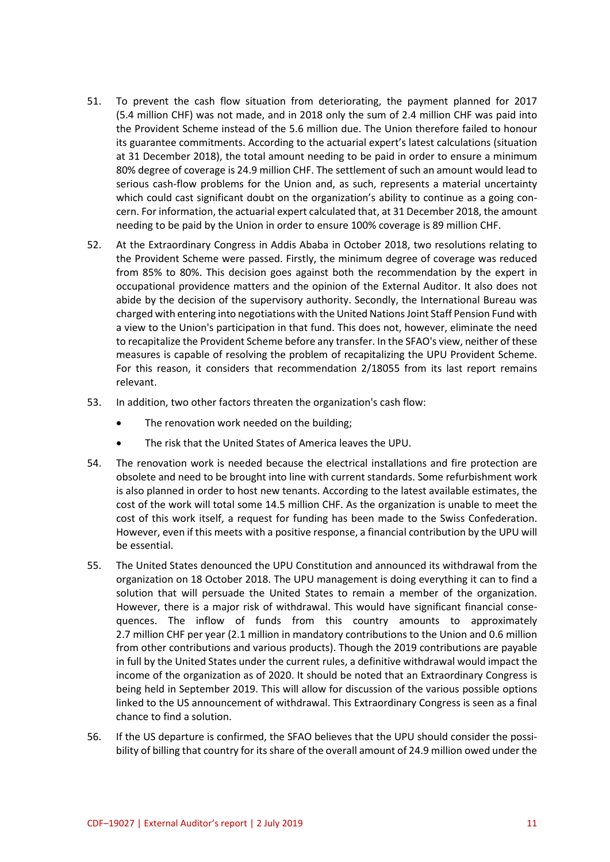- 51. To prevent the cash flow situation from deteriorating, the payment planned for 2017 (5.4 million CHF) was not made, and in 2018 only the sum of 2.4 million CHF was paid into the Provident Scheme instead of the 5.6 million due. The Union therefore failed to honour its guarantee commitments. According to the actuarial expert's latest calculations (situation at 31 December 2018), the total amount needing to be paid in order to ensure a minimum 80% degree of coverage is 24.9 million CHF. The settlement of such an amount would lead to serious cash-flow problems for the Union and, as such, represents a material uncertainty which could cast significant doubt on the organization's ability to continue as a going concern. For information, the actuarial expert calculated that, at 31 December 2018, the amount needing to be paid by the Union in order to ensure 100% coverage is 89 million CHF.
- 52. At the Extraordinary Congress in Addis Ababa in October 2018, two resolutions relating to the Provident Scheme were passed. Firstly, the minimum degree of coverage was reduced from 85% to 80%. This decision goes against both the recommendation by the expert in occupational providence matters and the opinion of the External Auditor. It also does not abide by the decision of the supervisory authority. Secondly, the International Bureau was charged with entering into negotiations with the United Nations Joint Staff Pension Fund with a view to the Union's participation in that fund. This does not, however, eliminate the need to recapitalize the Provident Scheme before any transfer. In the SFAO's view, neither of these measures is capable of resolving the problem of recapitalizing the UPU Provident Scheme. For this reason, it considers that recommendation 2/18055 from its last report remains relevant.
- 53. In addition, two other factors threaten the organization's cash flow:
	- The renovation work needed on the building;
	- The risk that the United States of America leaves the UPU.
- 54. The renovation work is needed because the electrical installations and fire protection are obsolete and need to be brought into line with current standards. Some refurbishment work is also planned in order to host new tenants. According to the latest available estimates, the cost of the work will total some 14.5 million CHF. As the organization is unable to meet the cost of this work itself, a request for funding has been made to the Swiss Confederation. However, even if this meets with a positive response, a financial contribution by the UPU will be essential.
- 55. The United States denounced the UPU Constitution and announced its withdrawal from the organization on 18 October 2018. The UPU management is doing everything it can to find a solution that will persuade the United States to remain a member of the organization. However, there is a major risk of withdrawal. This would have significant financial consequences. The inflow of funds from this country amounts to approximately 2.7 million CHF per year (2.1 million in mandatory contributions to the Union and 0.6 million from other contributions and various products). Though the 2019 contributions are payable in full by the United States under the current rules, a definitive withdrawal would impact the income of the organization as of 2020. It should be noted that an Extraordinary Congress is being held in September 2019. This will allow for discussion of the various possible options linked to the US announcement of withdrawal. This Extraordinary Congress is seen as a final chance to find a solution.
- 56. If the US departure is confirmed, the SFAO believes that the UPU should consider the possibility of billing that country for its share of the overall amount of 24.9 million owed under the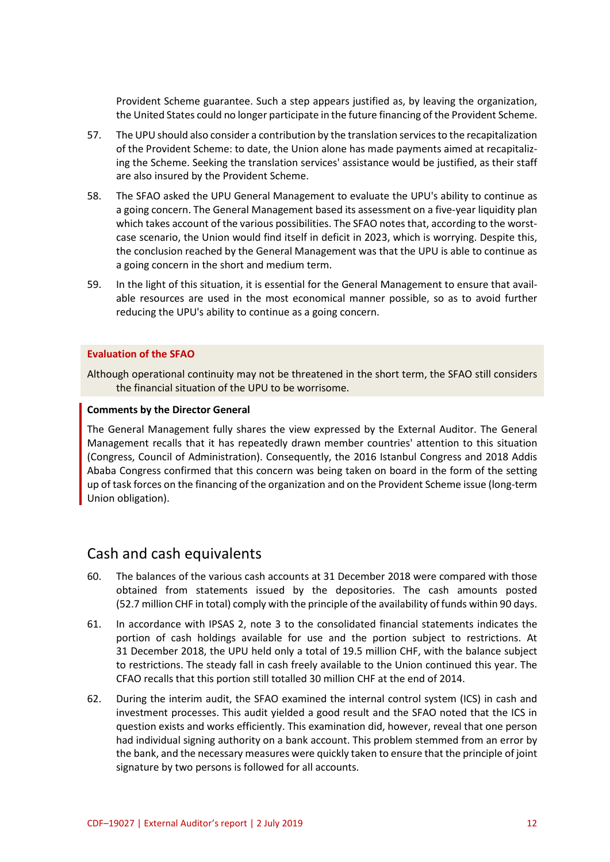Provident Scheme guarantee. Such a step appears justified as, by leaving the organization, the United States could no longer participate in the future financing of the Provident Scheme.

- 57. The UPU should also consider a contribution by the translation services to the recapitalization of the Provident Scheme: to date, the Union alone has made payments aimed at recapitalizing the Scheme. Seeking the translation services' assistance would be justified, as their staff are also insured by the Provident Scheme.
- 58. The SFAO asked the UPU General Management to evaluate the UPU's ability to continue as a going concern. The General Management based its assessment on a five-year liquidity plan which takes account of the various possibilities. The SFAO notes that, according to the worstcase scenario, the Union would find itself in deficit in 2023, which is worrying. Despite this, the conclusion reached by the General Management was that the UPU is able to continue as a going concern in the short and medium term.
- 59. In the light of this situation, it is essential for the General Management to ensure that available resources are used in the most economical manner possible, so as to avoid further reducing the UPU's ability to continue as a going concern.

#### **Evaluation of the SFAO**

Although operational continuity may not be threatened in the short term, the SFAO still considers the financial situation of the UPU to be worrisome.

#### **Comments by the Director General**

The General Management fully shares the view expressed by the External Auditor. The General Management recalls that it has repeatedly drawn member countries' attention to this situation (Congress, Council of Administration). Consequently, the 2016 Istanbul Congress and 2018 Addis Ababa Congress confirmed that this concern was being taken on board in the form of the setting up of task forces on the financing of the organization and on the Provident Scheme issue (long-term Union obligation).

#### Cash and cash equivalents

- 60. The balances of the various cash accounts at 31 December 2018 were compared with those obtained from statements issued by the depositories. The cash amounts posted (52.7 million CHF in total) comply with the principle of the availability of funds within 90 days.
- 61. In accordance with IPSAS 2, note 3 to the consolidated financial statements indicates the portion of cash holdings available for use and the portion subject to restrictions. At 31 December 2018, the UPU held only a total of 19.5 million CHF, with the balance subject to restrictions. The steady fall in cash freely available to the Union continued this year. The CFAO recalls that this portion still totalled 30 million CHF at the end of 2014.
- 62. During the interim audit, the SFAO examined the internal control system (ICS) in cash and investment processes. This audit yielded a good result and the SFAO noted that the ICS in question exists and works efficiently. This examination did, however, reveal that one person had individual signing authority on a bank account. This problem stemmed from an error by the bank, and the necessary measures were quickly taken to ensure that the principle of joint signature by two persons is followed for all accounts.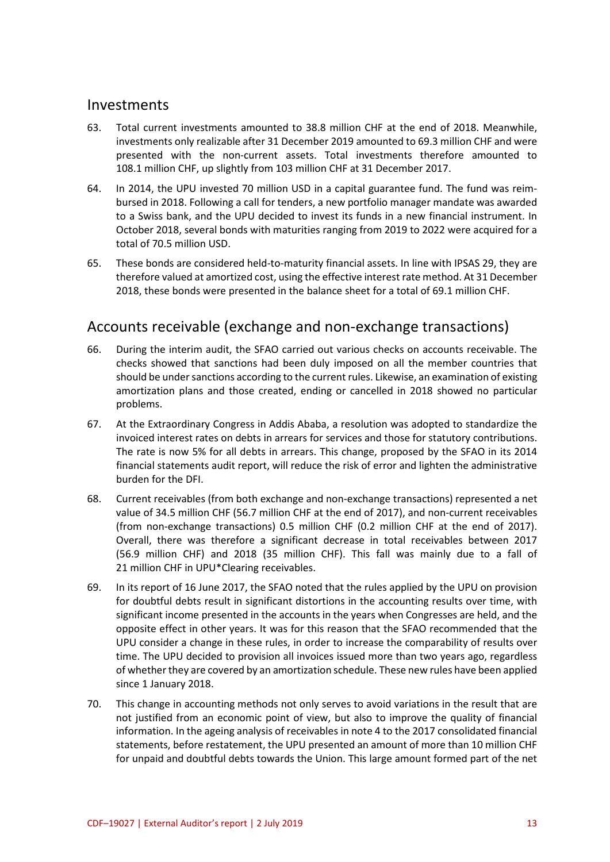#### Investments

- 63. Total current investments amounted to 38.8 million CHF at the end of 2018. Meanwhile, investments only realizable after 31 December 2019 amounted to 69.3 million CHF and were presented with the non-current assets. Total investments therefore amounted to 108.1 million CHF, up slightly from 103 million CHF at 31 December 2017.
- 64. In 2014, the UPU invested 70 million USD in a capital guarantee fund. The fund was reimbursed in 2018. Following a call for tenders, a new portfolio manager mandate was awarded to a Swiss bank, and the UPU decided to invest its funds in a new financial instrument. In October 2018, several bonds with maturities ranging from 2019 to 2022 were acquired for a total of 70.5 million USD.
- 65. These bonds are considered held-to-maturity financial assets. In line with IPSAS 29, they are therefore valued at amortized cost, using the effective interest rate method. At 31 December 2018, these bonds were presented in the balance sheet for a total of 69.1 million CHF.

## Accounts receivable (exchange and non-exchange transactions)

- 66. During the interim audit, the SFAO carried out various checks on accounts receivable. The checks showed that sanctions had been duly imposed on all the member countries that should be under sanctions according to the current rules. Likewise, an examination of existing amortization plans and those created, ending or cancelled in 2018 showed no particular problems.
- 67. At the Extraordinary Congress in Addis Ababa, a resolution was adopted to standardize the invoiced interest rates on debts in arrears for services and those for statutory contributions. The rate is now 5% for all debts in arrears. This change, proposed by the SFAO in its 2014 financial statements audit report, will reduce the risk of error and lighten the administrative burden for the DFI.
- 68. Current receivables (from both exchange and non-exchange transactions) represented a net value of 34.5 million CHF (56.7 million CHF at the end of 2017), and non-current receivables (from non-exchange transactions) 0.5 million CHF (0.2 million CHF at the end of 2017). Overall, there was therefore a significant decrease in total receivables between 2017 (56.9 million CHF) and 2018 (35 million CHF). This fall was mainly due to a fall of 21 million CHF in UPU\*Clearing receivables.
- 69. In its report of 16 June 2017, the SFAO noted that the rules applied by the UPU on provision for doubtful debts result in significant distortions in the accounting results over time, with significant income presented in the accounts in the years when Congresses are held, and the opposite effect in other years. It was for this reason that the SFAO recommended that the UPU consider a change in these rules, in order to increase the comparability of results over time. The UPU decided to provision all invoices issued more than two years ago, regardless of whether they are covered by an amortization schedule. These new rules have been applied since 1 January 2018.
- 70. This change in accounting methods not only serves to avoid variations in the result that are not justified from an economic point of view, but also to improve the quality of financial information. In the ageing analysis of receivables in note 4 to the 2017 consolidated financial statements, before restatement, the UPU presented an amount of more than 10 million CHF for unpaid and doubtful debts towards the Union. This large amount formed part of the net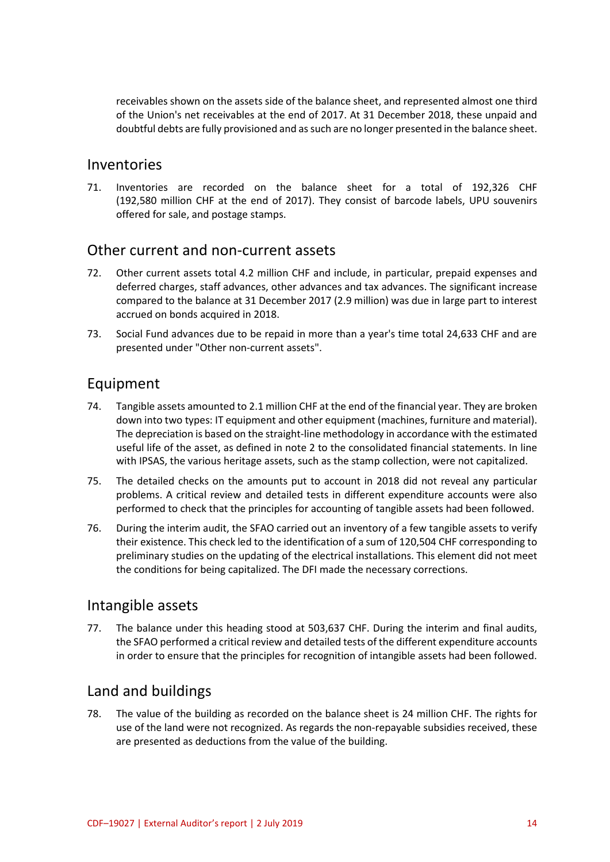receivables shown on the assets side of the balance sheet, and represented almost one third of the Union's net receivables at the end of 2017. At 31 December 2018, these unpaid and doubtful debts are fully provisioned and as such are no longer presented in the balance sheet.

#### Inventories

71. Inventories are recorded on the balance sheet for a total of 192,326 CHF (192,580 million CHF at the end of 2017). They consist of barcode labels, UPU souvenirs offered for sale, and postage stamps.

#### Other current and non-current assets

- 72. Other current assets total 4.2 million CHF and include, in particular, prepaid expenses and deferred charges, staff advances, other advances and tax advances. The significant increase compared to the balance at 31 December 2017 (2.9 million) was due in large part to interest accrued on bonds acquired in 2018.
- 73. Social Fund advances due to be repaid in more than a year's time total 24,633 CHF and are presented under "Other non-current assets".

#### Equipment

- 74. Tangible assets amounted to 2.1 million CHF at the end of the financial year. They are broken down into two types: IT equipment and other equipment (machines, furniture and material). The depreciation is based on the straight-line methodology in accordance with the estimated useful life of the asset, as defined in note 2 to the consolidated financial statements. In line with IPSAS, the various heritage assets, such as the stamp collection, were not capitalized.
- 75. The detailed checks on the amounts put to account in 2018 did not reveal any particular problems. A critical review and detailed tests in different expenditure accounts were also performed to check that the principles for accounting of tangible assets had been followed.
- 76. During the interim audit, the SFAO carried out an inventory of a few tangible assets to verify their existence. This check led to the identification of a sum of 120,504 CHF corresponding to preliminary studies on the updating of the electrical installations. This element did not meet the conditions for being capitalized. The DFI made the necessary corrections.

#### Intangible assets

77. The balance under this heading stood at 503,637 CHF. During the interim and final audits, the SFAO performed a critical review and detailed tests of the different expenditure accounts in order to ensure that the principles for recognition of intangible assets had been followed.

#### Land and buildings

78. The value of the building as recorded on the balance sheet is 24 million CHF. The rights for use of the land were not recognized. As regards the non-repayable subsidies received, these are presented as deductions from the value of the building.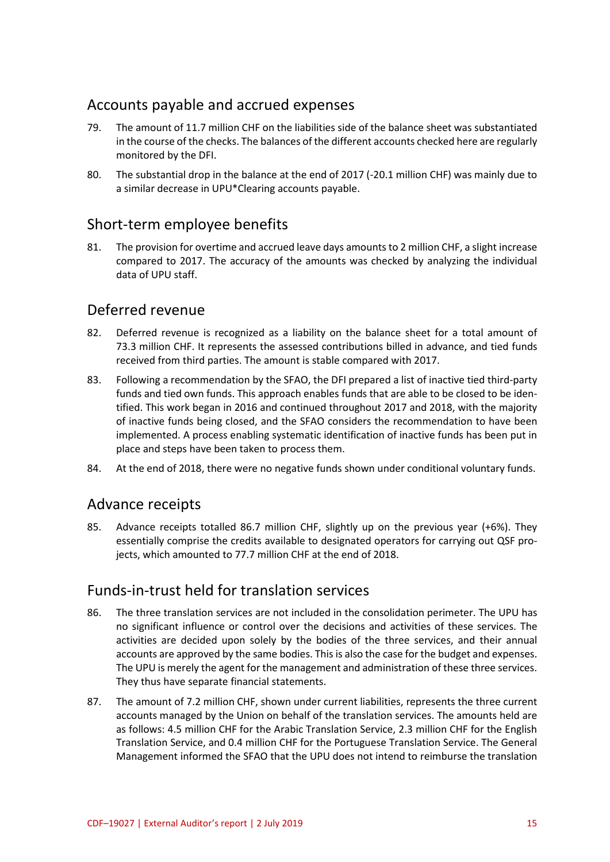## Accounts payable and accrued expenses

- 79. The amount of 11.7 million CHF on the liabilities side of the balance sheet was substantiated in the course of the checks. The balances of the different accounts checked here are regularly monitored by the DFI.
- 80. The substantial drop in the balance at the end of 2017 (-20.1 million CHF) was mainly due to a similar decrease in UPU\*Clearing accounts payable.

### Short-term employee benefits

81. The provision for overtime and accrued leave days amounts to 2 million CHF, a slight increase compared to 2017. The accuracy of the amounts was checked by analyzing the individual data of UPU staff.

### Deferred revenue

- 82. Deferred revenue is recognized as a liability on the balance sheet for a total amount of 73.3 million CHF. It represents the assessed contributions billed in advance, and tied funds received from third parties. The amount is stable compared with 2017.
- 83. Following a recommendation by the SFAO, the DFI prepared a list of inactive tied third-party funds and tied own funds. This approach enables funds that are able to be closed to be identified. This work began in 2016 and continued throughout 2017 and 2018, with the majority of inactive funds being closed, and the SFAO considers the recommendation to have been implemented. A process enabling systematic identification of inactive funds has been put in place and steps have been taken to process them.
- 84. At the end of 2018, there were no negative funds shown under conditional voluntary funds.

#### Advance receipts

85. Advance receipts totalled 86.7 million CHF, slightly up on the previous year (+6%). They essentially comprise the credits available to designated operators for carrying out QSF projects, which amounted to 77.7 million CHF at the end of 2018.

### Funds-in-trust held for translation services

- 86. The three translation services are not included in the consolidation perimeter. The UPU has no significant influence or control over the decisions and activities of these services. The activities are decided upon solely by the bodies of the three services, and their annual accounts are approved by the same bodies. This is also the case for the budget and expenses. The UPU is merely the agent for the management and administration of these three services. They thus have separate financial statements.
- 87. The amount of 7.2 million CHF, shown under current liabilities, represents the three current accounts managed by the Union on behalf of the translation services. The amounts held are as follows: 4.5 million CHF for the Arabic Translation Service, 2.3 million CHF for the English Translation Service, and 0.4 million CHF for the Portuguese Translation Service. The General Management informed the SFAO that the UPU does not intend to reimburse the translation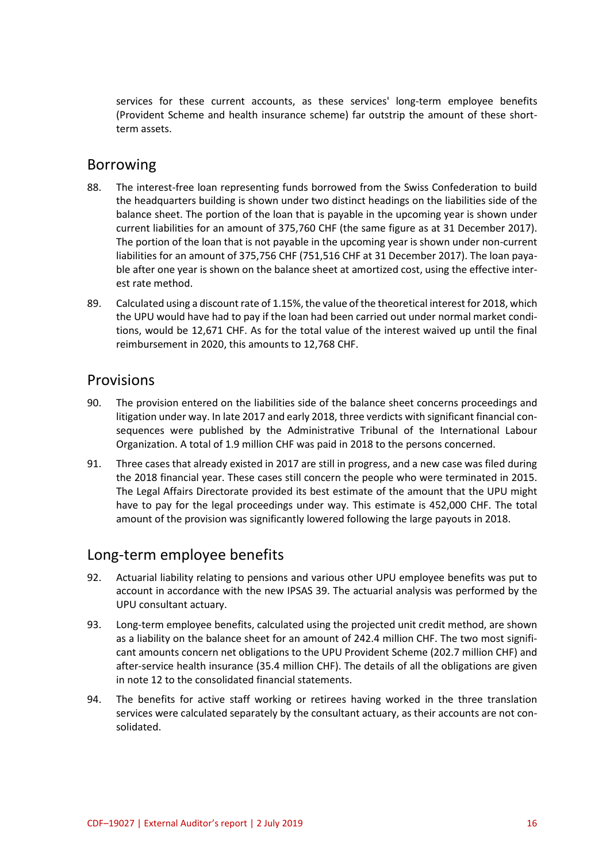services for these current accounts, as these services' long-term employee benefits (Provident Scheme and health insurance scheme) far outstrip the amount of these shortterm assets.

#### Borrowing

- 88. The interest-free loan representing funds borrowed from the Swiss Confederation to build the headquarters building is shown under two distinct headings on the liabilities side of the balance sheet. The portion of the loan that is payable in the upcoming year is shown under current liabilities for an amount of 375,760 CHF (the same figure as at 31 December 2017). The portion of the loan that is not payable in the upcoming year is shown under non-current liabilities for an amount of 375,756 CHF (751,516 CHF at 31 December 2017). The loan payable after one year is shown on the balance sheet at amortized cost, using the effective interest rate method.
- 89. Calculated using a discount rate of 1.15%, the value of the theoretical interest for 2018, which the UPU would have had to pay if the loan had been carried out under normal market conditions, would be 12,671 CHF. As for the total value of the interest waived up until the final reimbursement in 2020, this amounts to 12,768 CHF.

#### Provisions

- 90. The provision entered on the liabilities side of the balance sheet concerns proceedings and litigation under way. In late 2017 and early 2018, three verdicts with significant financial consequences were published by the Administrative Tribunal of the International Labour Organization. A total of 1.9 million CHF was paid in 2018 to the persons concerned.
- 91. Three cases that already existed in 2017 are still in progress, and a new case was filed during the 2018 financial year. These cases still concern the people who were terminated in 2015. The Legal Affairs Directorate provided its best estimate of the amount that the UPU might have to pay for the legal proceedings under way. This estimate is 452,000 CHF. The total amount of the provision was significantly lowered following the large payouts in 2018.

### Long-term employee benefits

- 92. Actuarial liability relating to pensions and various other UPU employee benefits was put to account in accordance with the new IPSAS 39. The actuarial analysis was performed by the UPU consultant actuary.
- 93. Long-term employee benefits, calculated using the projected unit credit method, are shown as a liability on the balance sheet for an amount of 242.4 million CHF. The two most significant amounts concern net obligations to the UPU Provident Scheme (202.7 million CHF) and after-service health insurance (35.4 million CHF). The details of all the obligations are given in note 12 to the consolidated financial statements.
- 94. The benefits for active staff working or retirees having worked in the three translation services were calculated separately by the consultant actuary, as their accounts are not consolidated.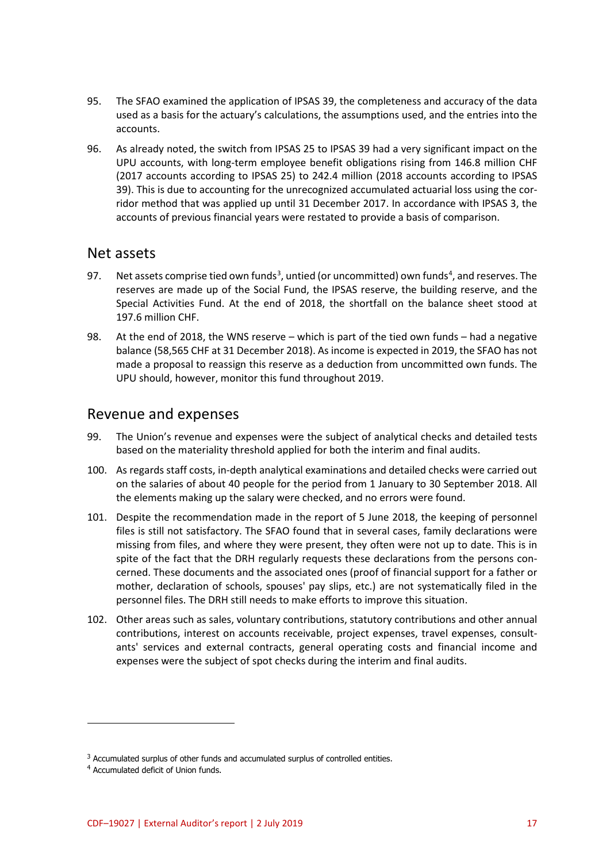- 95. The SFAO examined the application of IPSAS 39, the completeness and accuracy of the data used as a basis for the actuary's calculations, the assumptions used, and the entries into the accounts.
- 96. As already noted, the switch from IPSAS 25 to IPSAS 39 had a very significant impact on the UPU accounts, with long-term employee benefit obligations rising from 146.8 million CHF (2017 accounts according to IPSAS 25) to 242.4 million (2018 accounts according to IPSAS 39). This is due to accounting for the unrecognized accumulated actuarial loss using the corridor method that was applied up until 31 December 2017. In accordance with IPSAS 3, the accounts of previous financial years were restated to provide a basis of comparison.

#### Net assets

- 97. Net assets comprise tied own funds<sup>[3](#page-16-0)</sup>, untied (or uncommitted) own funds<sup>[4](#page-16-1)</sup>, and reserves. The reserves are made up of the Social Fund, the IPSAS reserve, the building reserve, and the Special Activities Fund. At the end of 2018, the shortfall on the balance sheet stood at 197.6 million CHF.
- 98. At the end of 2018, the WNS reserve which is part of the tied own funds had a negative balance (58,565 CHF at 31 December 2018). As income is expected in 2019, the SFAO has not made a proposal to reassign this reserve as a deduction from uncommitted own funds. The UPU should, however, monitor this fund throughout 2019.

#### Revenue and expenses

- 99. The Union's revenue and expenses were the subject of analytical checks and detailed tests based on the materiality threshold applied for both the interim and final audits.
- 100. As regards staff costs, in-depth analytical examinations and detailed checks were carried out on the salaries of about 40 people for the period from 1 January to 30 September 2018. All the elements making up the salary were checked, and no errors were found.
- 101. Despite the recommendation made in the report of 5 June 2018, the keeping of personnel files is still not satisfactory. The SFAO found that in several cases, family declarations were missing from files, and where they were present, they often were not up to date. This is in spite of the fact that the DRH regularly requests these declarations from the persons concerned. These documents and the associated ones (proof of financial support for a father or mother, declaration of schools, spouses' pay slips, etc.) are not systematically filed in the personnel files. The DRH still needs to make efforts to improve this situation.
- 102. Other areas such as sales, voluntary contributions, statutory contributions and other annual contributions, interest on accounts receivable, project expenses, travel expenses, consultants' services and external contracts, general operating costs and financial income and expenses were the subject of spot checks during the interim and final audits.

**.** 

<sup>&</sup>lt;sup>3</sup> Accumulated surplus of other funds and accumulated surplus of controlled entities.

<span id="page-16-1"></span><span id="page-16-0"></span><sup>4</sup> Accumulated deficit of Union funds.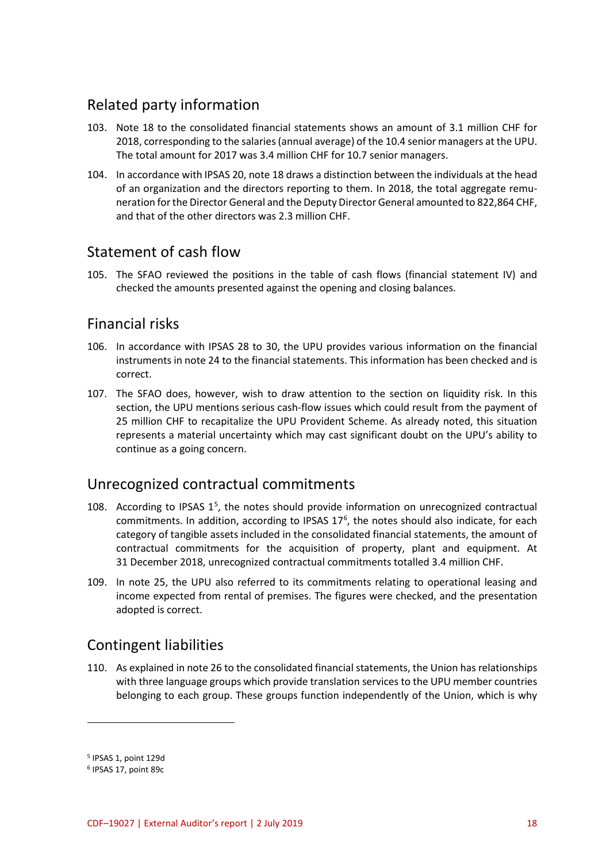## Related party information

- 103. Note 18 to the consolidated financial statements shows an amount of 3.1 million CHF for 2018, corresponding to the salaries (annual average) of the 10.4 senior managers at the UPU. The total amount for 2017 was 3.4 million CHF for 10.7 senior managers.
- 104. In accordance with IPSAS 20, note 18 draws a distinction between the individuals at the head of an organization and the directors reporting to them. In 2018, the total aggregate remuneration for the Director General and the Deputy Director General amounted to 822,864 CHF, and that of the other directors was 2.3 million CHF.

## Statement of cash flow

105. The SFAO reviewed the positions in the table of cash flows (financial statement IV) and checked the amounts presented against the opening and closing balances.

### Financial risks

- 106. In accordance with IPSAS 28 to 30, the UPU provides various information on the financial instruments in note 24 to the financial statements. This information has been checked and is correct.
- 107. The SFAO does, however, wish to draw attention to the section on liquidity risk. In this section, the UPU mentions serious cash-flow issues which could result from the payment of 25 million CHF to recapitalize the UPU Provident Scheme. As already noted, this situation represents a material uncertainty which may cast significant doubt on the UPU's ability to continue as a going concern.

## Unrecognized contractual commitments

- 108. According to IPSAS  $1<sup>5</sup>$  $1<sup>5</sup>$  $1<sup>5</sup>$ , the notes should provide information on unrecognized contractual commitments. In addition, according to IPSAS  $17<sup>6</sup>$  $17<sup>6</sup>$  $17<sup>6</sup>$ , the notes should also indicate, for each category of tangible assets included in the consolidated financial statements, the amount of contractual commitments for the acquisition of property, plant and equipment. At 31 December 2018, unrecognized contractual commitments totalled 3.4 million CHF.
- 109. In note 25, the UPU also referred to its commitments relating to operational leasing and income expected from rental of premises. The figures were checked, and the presentation adopted is correct.

## Contingent liabilities

110. As explained in note 26 to the consolidated financial statements, the Union has relationships with three language groups which provide translation services to the UPU member countries belonging to each group. These groups function independently of the Union, which is why

1

<span id="page-17-0"></span><sup>5</sup> IPSAS 1, point 129d

<span id="page-17-1"></span><sup>6</sup> IPSAS 17, point 89c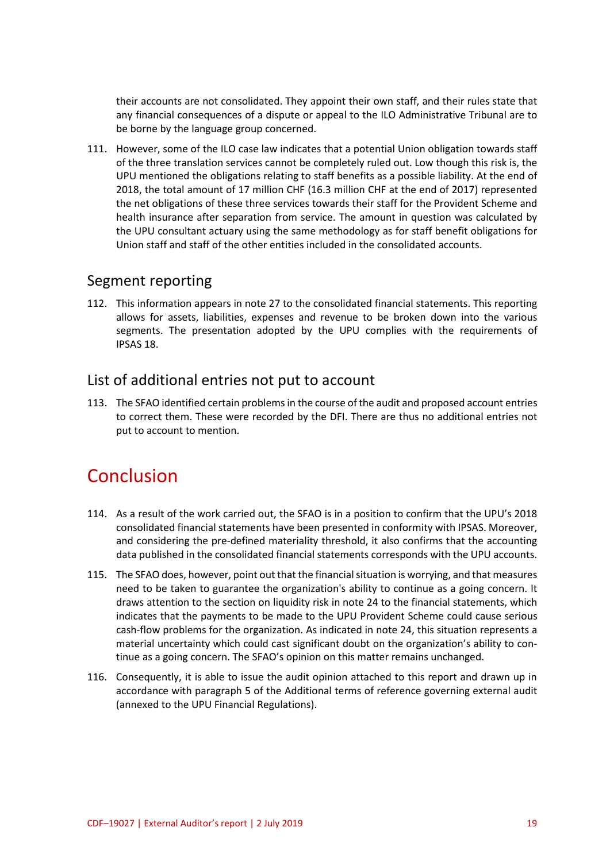their accounts are not consolidated. They appoint their own staff, and their rules state that any financial consequences of a dispute or appeal to the ILO Administrative Tribunal are to be borne by the language group concerned.

111. However, some of the ILO case law indicates that a potential Union obligation towards staff of the three translation services cannot be completely ruled out. Low though this risk is, the UPU mentioned the obligations relating to staff benefits as a possible liability. At the end of 2018, the total amount of 17 million CHF (16.3 million CHF at the end of 2017) represented the net obligations of these three services towards their staff for the Provident Scheme and health insurance after separation from service. The amount in question was calculated by the UPU consultant actuary using the same methodology as for staff benefit obligations for Union staff and staff of the other entities included in the consolidated accounts.

#### Segment reporting

112. This information appears in note 27 to the consolidated financial statements. This reporting allows for assets, liabilities, expenses and revenue to be broken down into the various segments. The presentation adopted by the UPU complies with the requirements of IPSAS 18.

### List of additional entries not put to account

113. The SFAO identified certain problems in the course of the audit and proposed account entries to correct them. These were recorded by the DFI. There are thus no additional entries not put to account to mention.

## Conclusion

- 114. As a result of the work carried out, the SFAO is in a position to confirm that the UPU's 2018 consolidated financial statements have been presented in conformity with IPSAS. Moreover, and considering the pre-defined materiality threshold, it also confirms that the accounting data published in the consolidated financial statements corresponds with the UPU accounts.
- 115. The SFAO does, however, point out that the financial situation is worrying, and that measures need to be taken to guarantee the organization's ability to continue as a going concern. It draws attention to the section on liquidity risk in note 24 to the financial statements, which indicates that the payments to be made to the UPU Provident Scheme could cause serious cash-flow problems for the organization. As indicated in note 24, this situation represents a material uncertainty which could cast significant doubt on the organization's ability to continue as a going concern. The SFAO's opinion on this matter remains unchanged.
- 116. Consequently, it is able to issue the audit opinion attached to this report and drawn up in accordance with paragraph 5 of the Additional terms of reference governing external audit (annexed to the UPU Financial Regulations).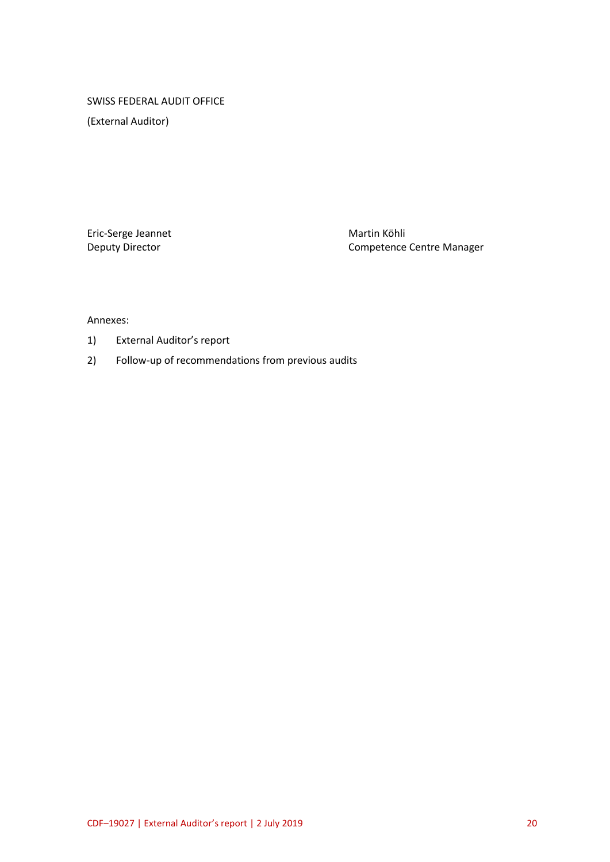#### SWISS FEDERAL AUDIT OFFICE

(External Auditor)

Eric-Serge Jeannet Martin Köhli

Deputy Director **Competence Centre Manager** Competence Centre Manager

#### Annexes:

- 1) External Auditor's report
- 2) Follow-up of recommendations from previous audits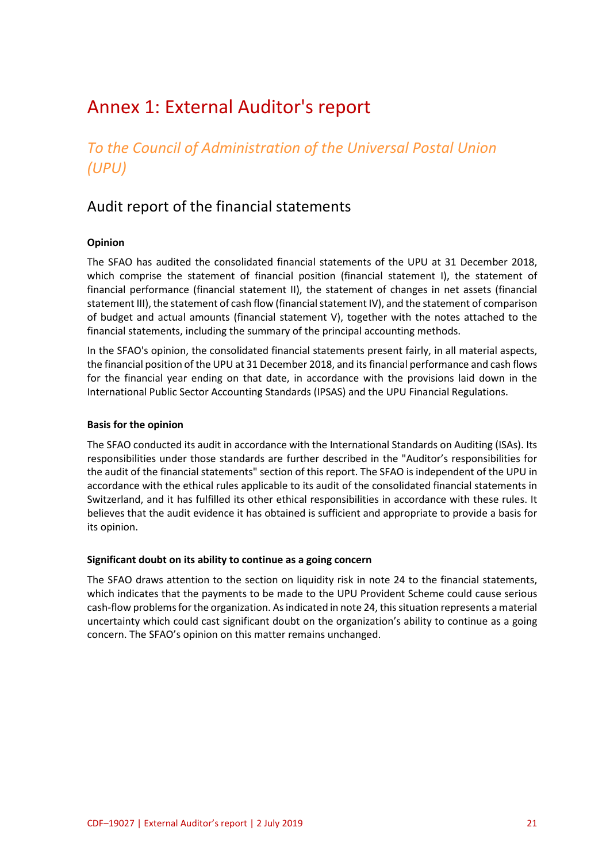## Annex 1: External Auditor's report

## *To the Council of Administration of the Universal Postal Union (UPU)*

### Audit report of the financial statements

#### **Opinion**

The SFAO has audited the consolidated financial statements of the UPU at 31 December 2018, which comprise the statement of financial position (financial statement I), the statement of financial performance (financial statement II), the statement of changes in net assets (financial statement III), the statement of cash flow (financial statement IV), and the statement of comparison of budget and actual amounts (financial statement V), together with the notes attached to the financial statements, including the summary of the principal accounting methods.

In the SFAO's opinion, the consolidated financial statements present fairly, in all material aspects, the financial position of the UPU at 31 December 2018, and its financial performance and cash flows for the financial year ending on that date, in accordance with the provisions laid down in the International Public Sector Accounting Standards (IPSAS) and the UPU Financial Regulations.

#### **Basis for the opinion**

The SFAO conducted its audit in accordance with the International Standards on Auditing (ISAs). Its responsibilities under those standards are further described in the "Auditor's responsibilities for the audit of the financial statements" section of this report. The SFAO is independent of the UPU in accordance with the ethical rules applicable to its audit of the consolidated financial statements in Switzerland, and it has fulfilled its other ethical responsibilities in accordance with these rules. It believes that the audit evidence it has obtained is sufficient and appropriate to provide a basis for its opinion.

#### **Significant doubt on its ability to continue as a going concern**

The SFAO draws attention to the section on liquidity risk in note 24 to the financial statements, which indicates that the payments to be made to the UPU Provident Scheme could cause serious cash-flow problems for the organization. As indicated in note 24, this situation represents a material uncertainty which could cast significant doubt on the organization's ability to continue as a going concern. The SFAO's opinion on this matter remains unchanged.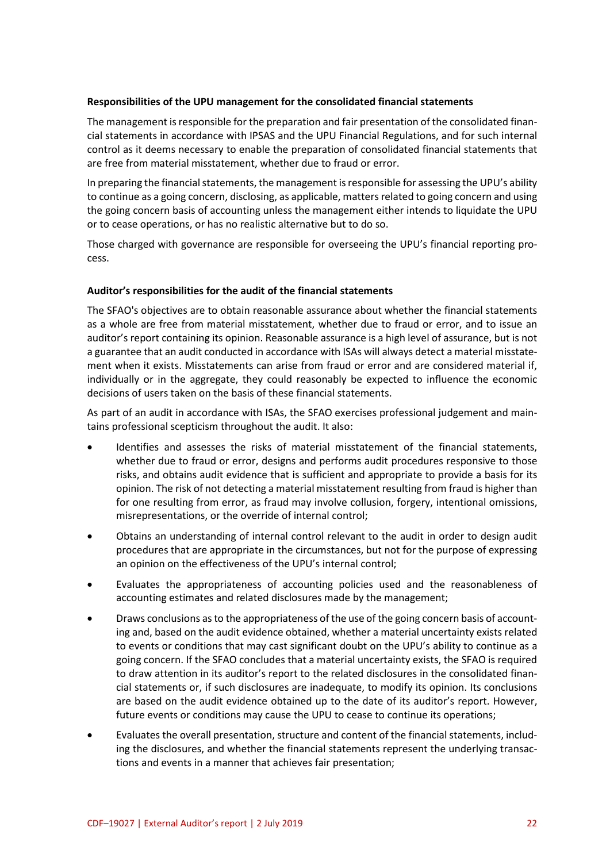#### **Responsibilities of the UPU management for the consolidated financial statements**

The management is responsible for the preparation and fair presentation of the consolidated financial statements in accordance with IPSAS and the UPU Financial Regulations, and for such internal control as it deems necessary to enable the preparation of consolidated financial statements that are free from material misstatement, whether due to fraud or error.

In preparing the financial statements, the management is responsible for assessing the UPU's ability to continue as a going concern, disclosing, as applicable, matters related to going concern and using the going concern basis of accounting unless the management either intends to liquidate the UPU or to cease operations, or has no realistic alternative but to do so.

Those charged with governance are responsible for overseeing the UPU's financial reporting process.

#### **Auditor's responsibilities for the audit of the financial statements**

The SFAO's objectives are to obtain reasonable assurance about whether the financial statements as a whole are free from material misstatement, whether due to fraud or error, and to issue an auditor's report containing its opinion. Reasonable assurance is a high level of assurance, but is not a guarantee that an audit conducted in accordance with ISAs will always detect a material misstatement when it exists. Misstatements can arise from fraud or error and are considered material if, individually or in the aggregate, they could reasonably be expected to influence the economic decisions of users taken on the basis of these financial statements.

As part of an audit in accordance with ISAs, the SFAO exercises professional judgement and maintains professional scepticism throughout the audit. It also:

- Identifies and assesses the risks of material misstatement of the financial statements, whether due to fraud or error, designs and performs audit procedures responsive to those risks, and obtains audit evidence that is sufficient and appropriate to provide a basis for its opinion. The risk of not detecting a material misstatement resulting from fraud is higher than for one resulting from error, as fraud may involve collusion, forgery, intentional omissions, misrepresentations, or the override of internal control;
- Obtains an understanding of internal control relevant to the audit in order to design audit procedures that are appropriate in the circumstances, but not for the purpose of expressing an opinion on the effectiveness of the UPU's internal control;
- Evaluates the appropriateness of accounting policies used and the reasonableness of accounting estimates and related disclosures made by the management;
- Draws conclusions as to the appropriateness of the use of the going concern basis of accounting and, based on the audit evidence obtained, whether a material uncertainty exists related to events or conditions that may cast significant doubt on the UPU's ability to continue as a going concern. If the SFAO concludes that a material uncertainty exists, the SFAO is required to draw attention in its auditor's report to the related disclosures in the consolidated financial statements or, if such disclosures are inadequate, to modify its opinion. Its conclusions are based on the audit evidence obtained up to the date of its auditor's report. However, future events or conditions may cause the UPU to cease to continue its operations;
- Evaluates the overall presentation, structure and content of the financial statements, including the disclosures, and whether the financial statements represent the underlying transactions and events in a manner that achieves fair presentation;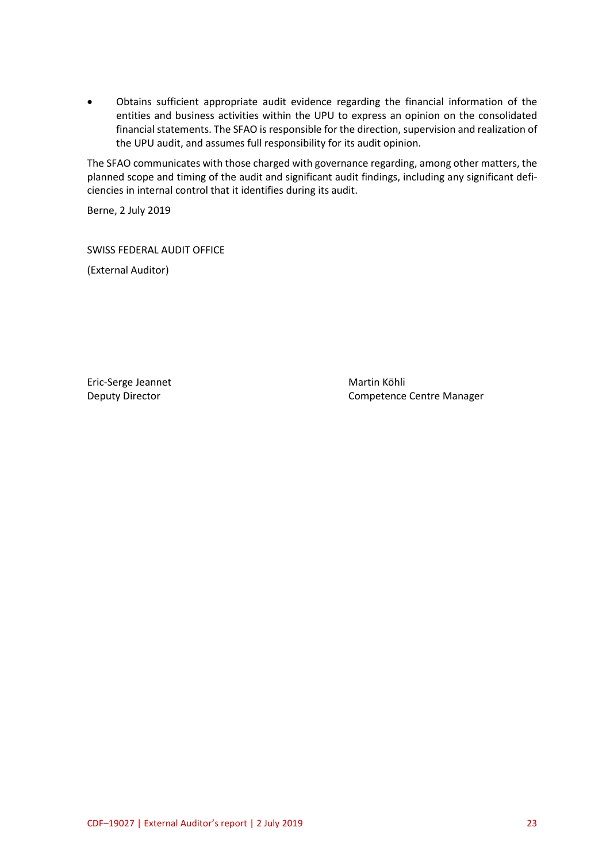• Obtains sufficient appropriate audit evidence regarding the financial information of the entities and business activities within the UPU to express an opinion on the consolidated financial statements. The SFAO is responsible for the direction, supervision and realization of the UPU audit, and assumes full responsibility for its audit opinion.

The SFAO communicates with those charged with governance regarding, among other matters, the planned scope and timing of the audit and significant audit findings, including any significant deficiencies in internal control that it identifies during its audit.

Berne, 2 July 2019

SWISS FEDERAL AUDIT OFFICE (External Auditor)

Eric-Serge Jeannet Martin Köhli

Deputy Director **Competence Centre Manager** Competence Centre Manager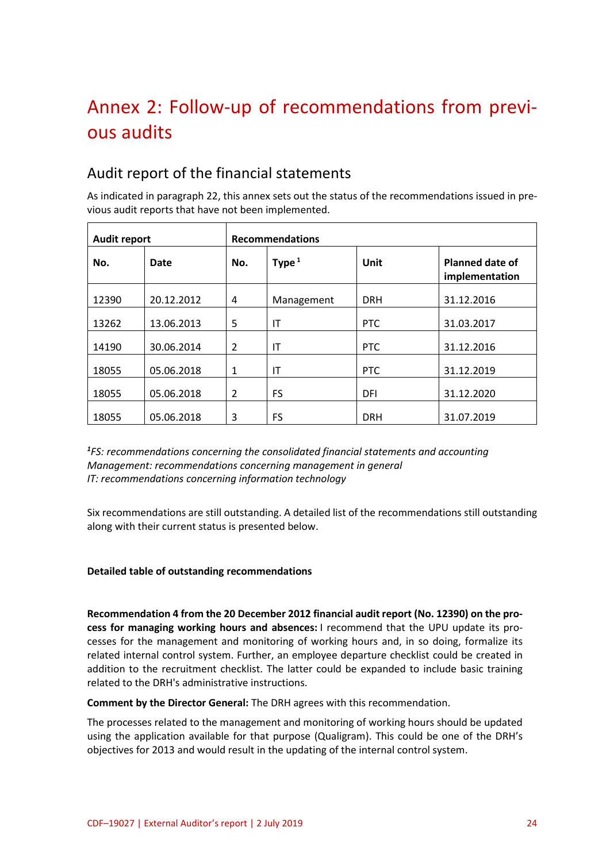## Annex 2: Follow-up of recommendations from previous audits

## Audit report of the financial statements

As indicated in paragraph 22, this annex sets out the status of the recommendations issued in previous audit reports that have not been implemented.

| <b>Audit report</b> |            | <b>Recommendations</b> |            |            |                                          |  |
|---------------------|------------|------------------------|------------|------------|------------------------------------------|--|
| No.                 | Date       | No.                    | Type $1$   | Unit       | <b>Planned date of</b><br>implementation |  |
| 12390               | 20.12.2012 | 4                      | Management | <b>DRH</b> | 31.12.2016                               |  |
| 13262               | 13.06.2013 | 5                      | IT         | <b>PTC</b> | 31.03.2017                               |  |
| 14190               | 30.06.2014 | 2                      | IT         | PTC        | 31.12.2016                               |  |
| 18055               | 05.06.2018 | 1                      | IT         | <b>PTC</b> | 31.12.2019                               |  |
| 18055               | 05.06.2018 | $\overline{2}$         | <b>FS</b>  | <b>DFI</b> | 31.12.2020                               |  |
| 18055               | 05.06.2018 | 3                      | <b>FS</b>  | <b>DRH</b> | 31.07.2019                               |  |

*1 FS: recommendations concerning the consolidated financial statements and accounting Management: recommendations concerning management in general IT: recommendations concerning information technology*

Six recommendations are still outstanding. A detailed list of the recommendations still outstanding along with their current status is presented below.

#### **Detailed table of outstanding recommendations**

**Recommendation 4 from the 20 December 2012 financial audit report (No. 12390) on the process for managing working hours and absences:** I recommend that the UPU update its processes for the management and monitoring of working hours and, in so doing, formalize its related internal control system. Further, an employee departure checklist could be created in addition to the recruitment checklist. The latter could be expanded to include basic training related to the DRH's administrative instructions.

**Comment by the Director General:** The DRH agrees with this recommendation.

The processes related to the management and monitoring of working hours should be updated using the application available for that purpose (Qualigram). This could be one of the DRH's objectives for 2013 and would result in the updating of the internal control system.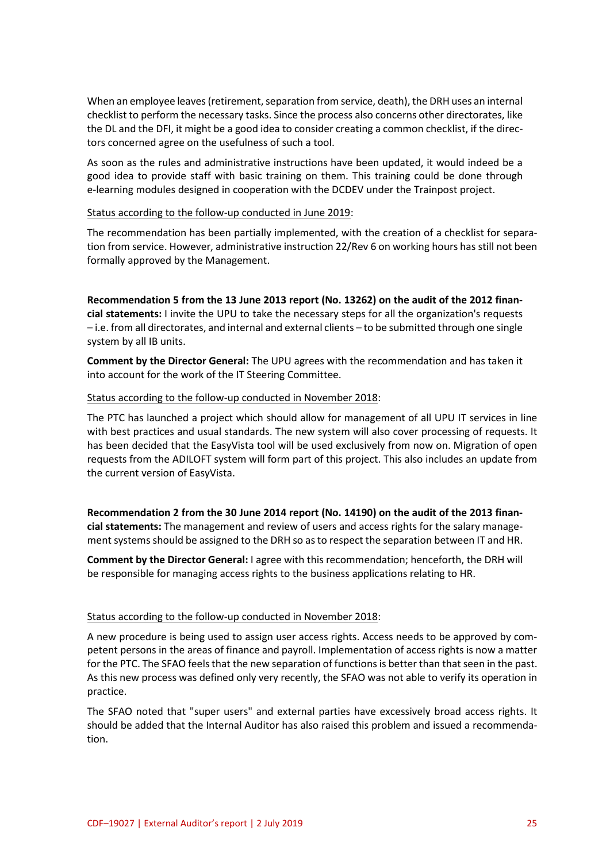When an employee leaves (retirement, separation from service, death), the DRH uses an internal checklist to perform the necessary tasks. Since the process also concerns other directorates, like the DL and the DFI, it might be a good idea to consider creating a common checklist, if the directors concerned agree on the usefulness of such a tool.

As soon as the rules and administrative instructions have been updated, it would indeed be a good idea to provide staff with basic training on them. This training could be done through e-learning modules designed in cooperation with the DCDEV under the Trainpost project.

#### Status according to the follow-up conducted in June 2019:

The recommendation has been partially implemented, with the creation of a checklist for separation from service. However, administrative instruction 22/Rev 6 on working hours has still not been formally approved by the Management.

**Recommendation 5 from the 13 June 2013 report (No. 13262) on the audit of the 2012 financial statements:** I invite the UPU to take the necessary steps for all the organization's requests – i.e. from all directorates, and internal and external clients – to be submitted through one single system by all IB units.

**Comment by the Director General:** The UPU agrees with the recommendation and has taken it into account for the work of the IT Steering Committee.

#### Status according to the follow-up conducted in November 2018:

The PTC has launched a project which should allow for management of all UPU IT services in line with best practices and usual standards. The new system will also cover processing of requests. It has been decided that the EasyVista tool will be used exclusively from now on. Migration of open requests from the ADILOFT system will form part of this project. This also includes an update from the current version of EasyVista.

**Recommendation 2 from the 30 June 2014 report (No. 14190) on the audit of the 2013 financial statements:** The management and review of users and access rights for the salary management systems should be assigned to the DRH so as to respect the separation between IT and HR.

**Comment by the Director General:** I agree with this recommendation; henceforth, the DRH will be responsible for managing access rights to the business applications relating to HR.

#### Status according to the follow-up conducted in November 2018:

A new procedure is being used to assign user access rights. Access needs to be approved by competent persons in the areas of finance and payroll. Implementation of access rights is now a matter for the PTC. The SFAO feels that the new separation of functions is better than that seen in the past. As this new process was defined only very recently, the SFAO was not able to verify its operation in practice.

The SFAO noted that "super users" and external parties have excessively broad access rights. It should be added that the Internal Auditor has also raised this problem and issued a recommendation.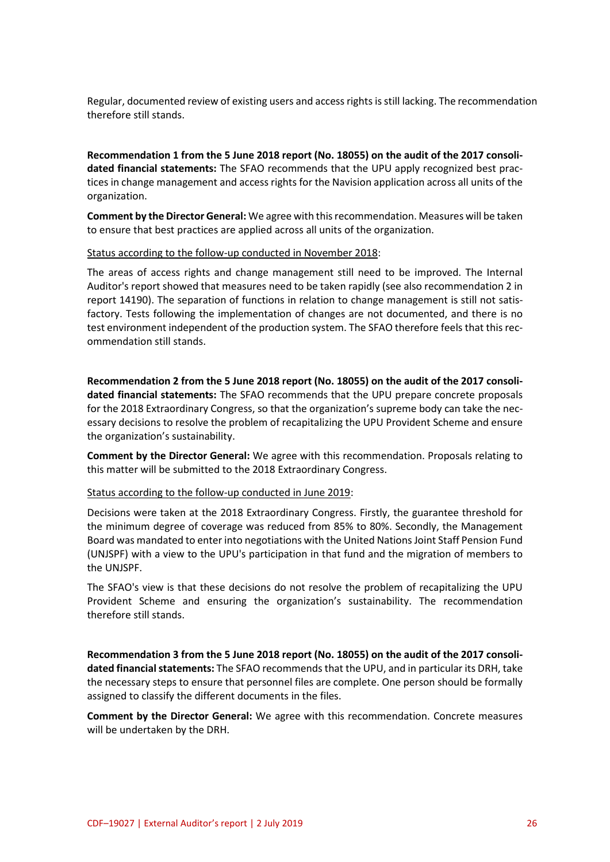Regular, documented review of existing users and access rights is still lacking. The recommendation therefore still stands.

**Recommendation 1 from the 5 June 2018 report (No. 18055) on the audit of the 2017 consolidated financial statements:** The SFAO recommends that the UPU apply recognized best practices in change management and access rights for the Navision application across all units of the organization.

**Comment by the Director General:** We agree with this recommendation. Measures will be taken to ensure that best practices are applied across all units of the organization.

#### Status according to the follow-up conducted in November 2018:

The areas of access rights and change management still need to be improved. The Internal Auditor's report showed that measures need to be taken rapidly (see also recommendation 2 in report 14190). The separation of functions in relation to change management is still not satisfactory. Tests following the implementation of changes are not documented, and there is no test environment independent of the production system. The SFAO therefore feels that this recommendation still stands.

**Recommendation 2 from the 5 June 2018 report (No. 18055) on the audit of the 2017 consolidated financial statements:** The SFAO recommends that the UPU prepare concrete proposals for the 2018 Extraordinary Congress, so that the organization's supreme body can take the necessary decisions to resolve the problem of recapitalizing the UPU Provident Scheme and ensure the organization's sustainability.

**Comment by the Director General:** We agree with this recommendation. Proposals relating to this matter will be submitted to the 2018 Extraordinary Congress.

#### Status according to the follow-up conducted in June 2019:

Decisions were taken at the 2018 Extraordinary Congress. Firstly, the guarantee threshold for the minimum degree of coverage was reduced from 85% to 80%. Secondly, the Management Board was mandated to enter into negotiations with the United Nations Joint Staff Pension Fund (UNJSPF) with a view to the UPU's participation in that fund and the migration of members to the UNJSPF.

The SFAO's view is that these decisions do not resolve the problem of recapitalizing the UPU Provident Scheme and ensuring the organization's sustainability. The recommendation therefore still stands.

**Recommendation 3 from the 5 June 2018 report (No. 18055) on the audit of the 2017 consolidated financial statements:** The SFAO recommends that the UPU, and in particular its DRH, take the necessary steps to ensure that personnel files are complete. One person should be formally assigned to classify the different documents in the files.

**Comment by the Director General:** We agree with this recommendation. Concrete measures will be undertaken by the DRH.